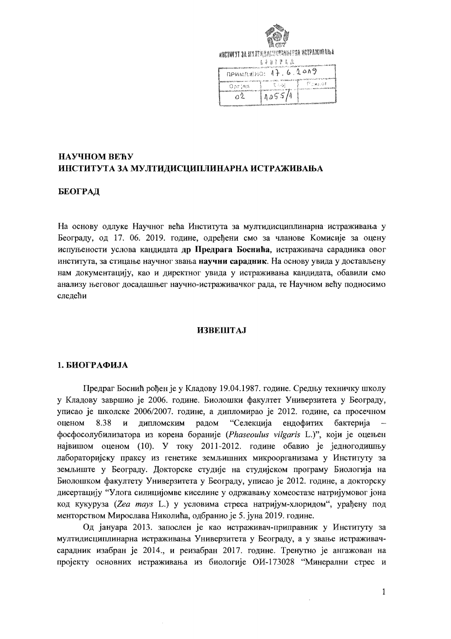

MHCTHTYT 3A RYATMAAGUNAANNAFUA MCTPAMIIDANA

|                     | 去言自言赞意度<br>www.com.com/participates/participates/market.com/addition/ |            |
|---------------------|-----------------------------------------------------------------------|------------|
| NEWMERED: 17.6.2009 |                                                                       |            |
|                     | 化连续机 建化酶化水杨酸酯 人名英格兰人姓氏哈特的变体 化硫酸盐医硫酸盐 计数据<br>- てんぴ                     | - ⊡ು∗ು: ≎‡ |
| Oprias              |                                                                       |            |
|                     | 1055/1                                                                |            |
|                     |                                                                       |            |

## НАУЧНОМ ВЕЋУ ИНСТИТУТА ЗА МУЛТИДИСЦИПЛИНАРНА ИСТРАЖИВАЊА

## БЕОГРАД

На основу одлуке Научног већа Института за мултидисциплинарна истраживања у Београду, од 17. 06. 2019. године, одређени смо за чланове Комисије за оцену испуњености услова кандидата др Предрага Боснића, истраживача сарадника овог института, за стицање научног звања научни сарадник. На основу увида у достављену нам документацију, као и директног увида у истраживања кандидата, обавили смо анализу његовог досадашњег научно-истраживачког рада, те Научном већу подносимо следећи

#### **ИЗВЕШТАЈ**

#### 1. БИОГРАФИЈА

Предраг Боснић рођен је у Кладову 19.04.1987. године. Средњу техничку школу у Кладову завршио је 2006. године. Биолошки факултет Универзитета у Београду, уписао је школске 2006/2007. године, а дипломирао је 2012. године, са просечном "Селекција оценом 8.38  $\mathbf{M}$ дипломским радом ендофитих бактерија фосфосолубилизатора из корена бораније (Phaseoulus vilgaris L.)", који је оцењен највишом оценом (10). У току 2011-2012. године обавио је једногодишњу лабораторијску праксу из генетике земљишних микроорганизама у Институту за земљиште у Београду. Докторске студије на студијском програму Биологија на Биолошком факултету Универзитета у Београду, уписао је 2012. године, а докторску дисертацију "Улога силицијомве киселине у одржавању хомеостазе натријумовог јона код кукуруза (Zea mays L.) у условима стреса натријум-хлоридом", урађену под менторством Мирослава Николића, одбранио је 5. јуна 2019. године.

Од јануара 2013. запослен је као истраживач-приправник у Институту за мултидисциплинарна истраживања Универзитета у Београду, а у звање истраживачсарадник изабран је 2014., и реизабран 2017. године. Тренутно је ангажован на пројекту основних истраживања из биологије ОИ-173028 "Минерални стрес и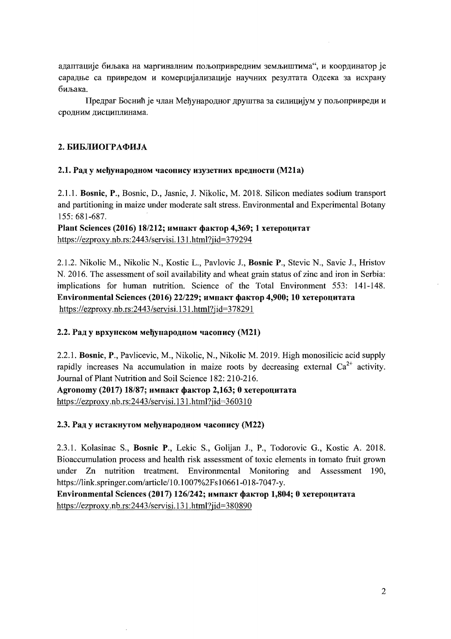алаптације биљака на маргиналним пољоприврелним земљиштима", и коорлинатор је сарадње са привредом и комерцијализације научних резултата Одсека за исхрану биљака.

Предраг Боснић је члан Мећународног друштва за силицијум у пољопривреди и сродним дисциплинама.

## 2. БИБЛИОГРАФИЈА

## 2.1. Рад у међународном часопису изузетних вредности (М21а)

2.1.1. Bosnic, P., Bosnic, D., Jasnic, J. Nikolic, M. 2018. Silicon mediates sodium transport and partitioning in maize under moderate salt stress. Environmental and Experimental Botany 155: 681-687.

Plant Sciences (2016) *18/212*; импакт фактор 4,369; 1 хетероцитат https://ezproxy.nb.rs:2443/servisi.131.html?jid=379294

2.1.2. Nikolic M., Nikolic N., Kostic L., Pavlovic J., Bosnic P., Stevic N., Savic J., Hristov N. 2016. The assessment of soil availability and wheat grain status of zinc and iron in Serbia: implications for human nutrition. Science of the Total Environment 553: 141-148. Environmental Sciences (2016) 22/229; импакт фактор 4,900; 10 хетероцитата https://ezproxy.nb.rs:2443/servisi.131.html?jid=378291

## 2.2. Рад у врхунском међународном часопису (M21)

2.2.1. Bosnic, P., Pavlicevic, M., Nikolic, N., Nikolic M. 2019. High monosilicic acid supply rapidly increases Na accumulation in maize roots by decreasing external  $Ca^{2+}$  activity. Journal of Plant Nutrition and Soil Science 182: 210-216.

Agronomy (2017) *18/87; импакт фактор 2,163; 0 хетероцитата* https://ezproxy.nb.rs:2443/servisi.131.html?jid=360310

## 2.3. Рад у истакнутом међународном часопису (М22)

2.3.1. Kolasinac S., Bosnic P., Lekic S., Golijan J., P., Todorovic G., Kostic A. 2018. Bioaccumulation process and health risk assessment of toxic elements in tomato fruit grown under Zn nutrition treatment. Environmental Monitoring and Assessment 190, https://link.springer.com/article/10.1007%2Fs10661-018-7047-y.

Environmental Sciences (2017) 126/242; импакт фактор 1,804; 0 хетероцитата https://ezproxy.nb.rs:2443/servisi.131.html?jid=380890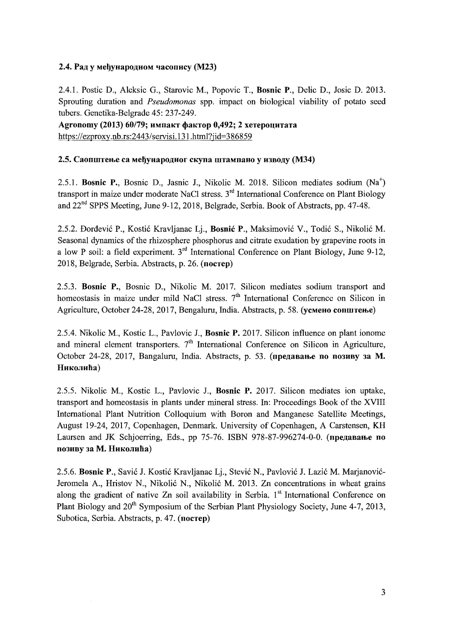## 2.4. Рад у мећународном часопису (М23)

2.4.1. Postic D., Aleksic G., Starovic M., Popovic 1., Bosnic P., Delic D., Josie D. 2013. Sprouting duration and *Pseudomonas* spp. impact on biological viability of potato seed tubers. Genetika-Belgrade 45: 237-249.

Agronomy (2013) 60/79; импакт фактор 0,492; 2 хетероцитата https://ezproxy.nb.rs:2443/servisi.131.html?jid=386859

## 2.5. Саопштење са међународног скупа штампано у изводу (М34)

2.5.1. Bosnic P., Bosnic D., Jasnic J., Nikolic M. 2018. Silicon mediates sodium (Na<sup>+</sup>) transport in maize under moderate NaCl stress. 3<sup>rd</sup> International Conference on Plant Biology and 22<sup>nd</sup> SPPS Meeting, June 9-12, 2018, Belgrade, Serbia. Book of Abstracts, pp. 47-48.

2.5.2. Dordevic P., Kostic Kravljanac Lj., Bosnic P., Maksimovic V., Todic S., Nikolic M. Seasonal dynamics of the rhizosphere phosphorus and citrate exudation by grapevine roots in a low P soil: a field experiment.  $3<sup>rd</sup>$  International Conference on Plant Biology, June 9-12, 2018, Belgrade, Serbia. Abstracts, p. 26. (nocrep)

2.5.3. Bosnic P., Bosnic D., Nikolic M. 2017. Silicon mediates sodium transport and homeostasis in maize under mild NaCl stress.  $7<sup>th</sup>$  International Conference on Silicon in Agriculture, October 24-28, 2017, Bengaluru, India. Abstracts, p. 58. (усмено сопштење)

2.5.4. Nikolic M., Kostic L., Pavlovic 1., Bosnic P. 2017. Silicon influence on plant ionome and mineral element transporters.  $7<sup>th</sup>$  International Conference on Silicon in Agriculture, October 24-28, 2017, Bangaluru, India. Abstracts, p. 53. (предавање по позиву за М. Николића)

2.5.5. Nikolic M., Kostic L., Pavlovic J., Bosnic P. 2017. Silicon mediates ion uptake, transport and homeostasis in plants under mineral stress. In: Proceedings Book of the XVIII International Plant Nutrition Colloquium with Boron and Manganese Satellite Meetings, August 19-24, 2017, Copenhagen, Denmark. University of Copenhagen, A Carstensen, KH Laursen and JK Schjoerring, Eds., pp  $75-76$ . ISBN 978-87-996274-0-0. (предавање по позиву за М. Николића)

2.5.6. Bosnic P., Savic J. Kostic Kravljanac Lj., Stevic N., Pavlovic J. Lazic M. Marjanovic-Jeromela A., Hristov N., Nikolic N., Nikolic M. 2013. Zn concentrations in wheat grains along the gradient of native  $Zn$  soil availability in Serbia. 1<sup>st</sup> International Conference on Plant Biology and 20<sup>th</sup> Symposium of the Serbian Plant Physiology Society, June 4-7, 2013, Subotica, Serbia. Abstracts, p. 47. (nocrep)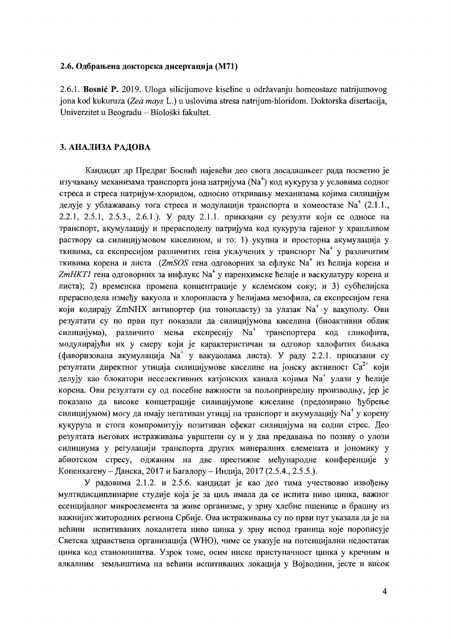#### 2.6. Одбрањена докторска дисертација (М71)

2.6.1. Bosnić P. 2019. Uloga silicijumove kiseline u održavanju homeostaze natrijumovog jona kod kukuruza (Zea mays L.) u uslovima stresa natrijum-hloridom. Doktorska disertacija, Univerzitet u Beogradu – Biološki fakultet.

#### 3. АНАЛИЗА РАДОВА

Кандидат др Предраг Боснић најевећи део свога досадашњеег рада посветио је изучавању механизама транспорта јона натријума (Na<sup>+</sup>) код кукуруза у условима содног стреса и стреса натријум-хлоридом, односно откривању механизама којима силицијум делује у ублажавању тога стреса и модулацији транспорта и хомеостазе  $Na<sup>+</sup>$  (2.1.1., 2.2.1, 2.5.1, 2.5.3., 2.6.1.). У раду 2.1.1. приказани су резулти који се односе на транспорт, акумулацију и прерасподелу натријума код кукуруза гајеног у хранљивом раствору са силицијумовом киселином, и то: 1) укупна и просторна акумулација у ткивима, са експресијом различитих гена укључених у транспорт  $Na<sup>+</sup>$  у различитим ткивима корена и листа (ZmSOS гена одговорних за ефлукс Na<sup>+</sup> из ћелија корена и ZmHKTI гена одговорних за инфлукс Na<sup>+</sup> у паренхимске ћелије и васкулатуру корена и листа); 2) временска промена концентрације у кслемском соку; и 3) субћелијска прерасподела између вакуола и хлоропласта у ћелијама мезофила, са експресијом гена који кодирају ZmNHX антипортер (на тонопласту) за улазак  $Na<sup>+</sup>$  у вакуполу. Ови резултати су по први пут показали да силицијумова киселина (биоактивни облик силицијума), различито мења експресију  $Na<sup>+</sup>$  транспортера код гликофита, модулирајући их у смеру који је карактеристичан за одговор халофитих биљака (фаворизована акумулација Na<sup>+</sup> у вакуаолама листа). У раду 2.2.1. приказани су резултати директног утицаја силицијумове киселине на јонску активност Са<sup>2+</sup> који делују као блокатори неселективних катјонских канала којима  $Na<sup>+</sup>$  улази у ћелије корена. Ови резултати су од посебне важности за пољопривредну производњу, јер је показано да високе концетрације силицијумове киселине (предозирано ђубрење силицијумом) могу да имају негативан утицај на транспорт и акумулацију Na<sup>+</sup> у корену кукуруза и стога компромитују позитиван ефекат силицијума на содни стрес. Део резултата његових истраживања уврштени су и у два предавања по позиву о улози силициума у регулацији транспорта других минералних елемената и јономику у абиотском стресу, оджаним на две престижне међународне конференције у Копенхагену – Данска, 2017 и Багалору – Индија, 2017 (2.5.4., 2.5.5.).

У радовима 2.1.2. и 2.5.6. кандидат је као део тима учествовао извођењу мултидисциплинарне студије која је за циљ имала да се испита ниво цинка, важног есенцијалног микроелемента за живе организме, у зрну хлебне пшенице и брашну из важнијих житородних региона Србије. Ова истраживања су по први пут указала да је на већини испитиваних локалитета ниво цинка у зрну испод граница које порописује Светска здравствена организација (WHO), чиме се указује на потенцијални недостатак цинка код становништва. Узрок томе, осим ниске приступачност цинка у кречним и алкалним земљиштима на већини испитиваних локација у Војводини, јесте и висок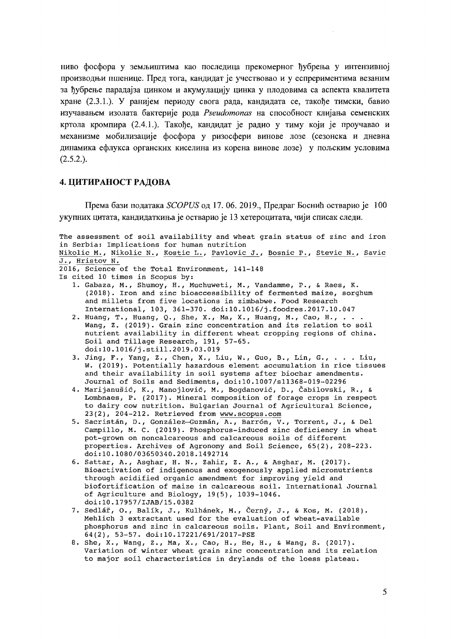ниво фосфора у земљиштима као последица прекомерног ђубрења у интензивној производњи пшенице. Пред тога, кандидат је учествовао и у еспрериментима везаним за ђубрење парадајза цинком и акумулацију цинка у плодовима са аспекта квалитета хране (2.3.1.). У ранијем периоду свога рада, кандидата се, такође тимски, бавио изучавањем изолата бактерије рода Pseudomonas на способност клијања семенских кртола кромпира (2.4.1.). Такође, кандидат је радио у тиму који је проучавао и механизме мобилизације фосфора у ризосфери винове лозе (сезонска и дневна динамика ефлукса органских киселина из корена винове лозе) у пољским условима  $(2.5.2.)$ .

#### 4. ЦИТИРАНОСТ РАДОВА

Према бази података SCOPUS од 17.06. 2019., Предраг Боснић остварио је 100 укупних цитата, кандидаткиња је остварио је 13 хетероцитата, чији списак следи.

The assessment of soil availability and wheat grain status of zinc and iron in Serbia: Implications for human nutrition Nikolic M., Nikolic N., Kostic L., Pavlovic J., Bosnic P., Stevic N., Savic J., Hristov N. 2016, Science of the Total Environment, 141-148 Is cited 10 times in Scopus by: 1. Gabaza, M., Shumoy, H., Muchuweti, M., Vandamme, P., & Raes, K. (2018). Iron and zinc bioaccessibility of fermented maize, sorghum and millets from five locations in zimbabwe. Food Research International, 103, 361-370. doi:10.1016/j.foodres.2017.10.047 2. Huang, T., Huang, Q., She, X., Ma, X., Huang, M., Cao, H., .. Wang, Z. (2019). Grain zinc concentration and its relation to soil nutrient availability in different wheat cropping regions of china. Soil and Tillage Research, 191, 57-65. doi:10.1016/j.still.2019.03.019 3. Jing, F., Yang, Z., Chen, X., Liu, W., Guo, B., Lin, G., . . . Liu, W. (2019). Potentially hazardous element accumulation in rice tissues and their availability in soil systems after biochar amendments. Journal of Soils and Sediments, doi:10.1007/s11368-019-02296 4. Marijanušić, K., Manojlović, M., Bogdanović, D., Čabilovski, R., & Lombnaes, P. (2017). Mineral composition of forage crops in respect to dairy cow nutrition. Bulgarian Journal of Agricultural Science, 23(2), 204-212. Retrieved from www.scopus.com 5. Sacristán, D., González-Guzmán, A., Barrón, V., Torrent, J., & Del<br>Campillo, M. C. (2019). Phosphorus-induced zinc deficiency in wheat pot-grown on noncalcareous and calcareous soils of different properties. Archives of Agronomy and Soil Science, 65(2), 208-223. doi:10.1080/03650340.2018.1492714 6. Sattar, A., Asghar, H. N., Zahir, Z. A., & Asghar, M. (2017). Bioactivation of indigenous and exogenously applied micronutrients

- through acidified organic amendment for improving yield and biofortification of maize in calcareous soil. International Journal of Agriculture and Biology, 19(5), 1039-1046. doi:10.17957/IJAB/15.0382
- 7. Sedlář, O., Balík, J., Kulhánek, M., Černý, J., & Kos, M. (2018). Mehlich 3 extractant used for the evaluation of wheat-available phosphorus and zinc in calcareous soils. Plant, Soil and Environment, 64(2), 53-57. doi:10.17221/691/2017-PSE
- 8. She, X., Wang, Z., Ma, X., Cao, H., He, H., & Wang, S. (2017). Variation of winter wheat grain zinc concentration and its relation to major soil characteristics in drylands of the loess plateau.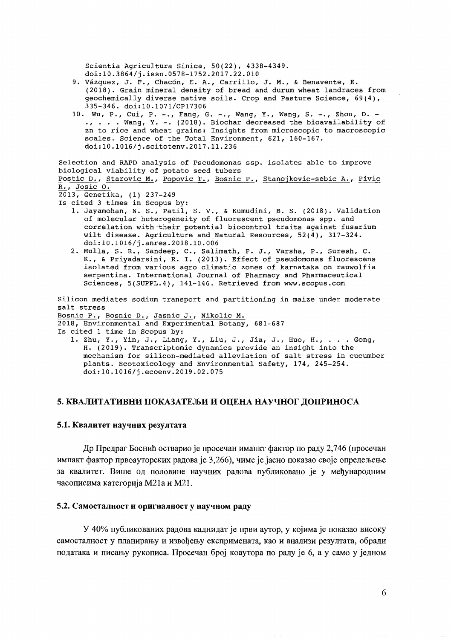scientia Agricultura Sinica, 50(22), 4338-4349. doi:l0.3864/j.issn.0578-1752.2017.22.010

- 9. Vázquez, J. F., Chacón, E. A., Carrillo, J. M., & Benavente, E. (2018). Grain mineral density of bread and durum wheat landraces from geochemically diverse native soils. Crop and Pasture Science, 69(4), 335-346. doi:l0.l071/CPI7306
- 10. Wu, P., Cui, P. -., Fang, G. -., Wang, Y., Wang, S. -., Zhou, D. -., ... Wang, Y. -. (2018). Biochar decreased the bioavailability of zn to rice and wheat grains: Insights from microscopic to macroscopic scales. Science of the Total Environment, 621, 160-167. doi:l0.l016/j.scitotenv.2017.11.236

```
Selection and RAPD analysis of Pseudomonas ssp. isolates able to improve 
biological viability of potato seed tubers 
Postic D., Starovic M., Popovic T., Bosnic P., Stanojkovic-sebic A., Pivic
R_{\bullet}, Josic 0.

2013, Genetika, (1) 237-249 

Is cited 3 times in Scopus by: 
   1. 	Jayamohan, N. S., Patil, S. V., & Kumudini, B. S. (2018). Validation 
      of molecular heterogeneity of fluorescent pseudomonas spp. and 
      correlation with their potential biocontrol traits against fusarium 
      wilt disease. Agriculture and Natural Resources, 52(4), 317-324. 
      doi:l0.1016/j.anres.2018.10.006 
   2. 	Mulla, S. R., Sandeep, C., Salimath, P. J., Varsha, P., Suresh, C. 
      K., & priyadarsini, R. I. (2013). Effect of pseudomonas fluorescens 
      isolated from various agro climatic zones of karnataka on rauwolfia 
      serpentina. International Journal of Pharmacy and Pharmaceutical 
      Sciences, 5(SUPPL.4), 141-146. Retrieved from www.scopus.com 
Silicon mediates sodium transport and partitioning in maize under moderate 
salt stress 
Bosnic P., Bosnic D., Jasnic J., Nikolic M. 
2018, Environmental and Experimental Botany, 681-687 
Is cited 1 time in Scopus by: 
   1. Zhu, Y., Yin, J., Liang, Y., Liu, J., Jia, J., HUo, H., ... Gong, 
      H. (2019). Transcriptomic dynamics provide an insight into the 
      mechanism for silicon-mediated alleviation of salt stress in cucumber
```
plants. Ecotoxicology and Environmental safety, 174, 245-254. doi:l0.l016/j.ecoenv.2019.02.075

## 5. КВАЛИТАТИВНИ ПОКАЗАТЕЉИ И ОЦЕНА НАУЧНОГ ДОПРИНОСА

#### 5.1. Квалитет научних резултата

Др Предраг Боснић остварио је просечан ималкт фактор по раду 2,746 (просечан импакт фактор првоауторских радова је 3,266), чиме је јасно показао своје опредељење за квалитет. Више од половине научних радова публиковано је у међународним часописима категорија М21а и М21.

#### 5.2. CaMOCTaJIHOCT H OpHrHaJ1HOCT y HayqHOM PaJlY

У 40% публикованих радова каднидат је први аутор, у којима је показао високу самосталност у планирању и извођењу експримената, као и анализи резултата, обради података и писању рукописа. Просечан број коаутора по раду је 6, а у само у једном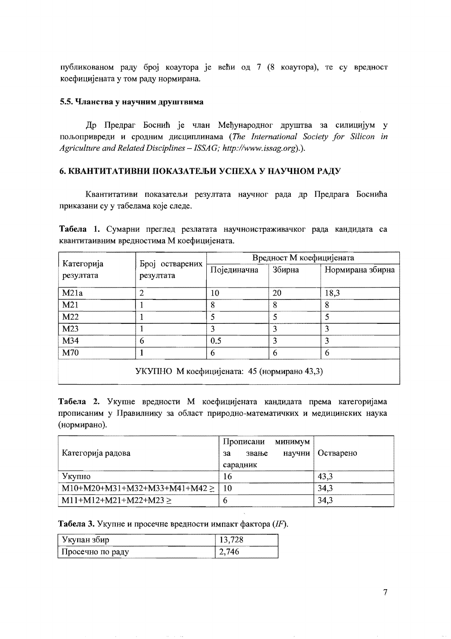публикованом раду број коаутора је већи од 7 (8 коаутора), те су вредност коефицијената у том раду нормирана.

#### 5.5. Чланства у научним друштвима

Др Предраг Боснић је члан Међународног друштва за силицијум у пољопривреди и сродним дисциплинама (The International Society for Silicon in Agriculture and Related Disciplines - ISSAG; http://www.issag.org).).

### 6. КВАНТИТАТИВНИ ПОКАЗАТЕЉИ УСПЕХА У НАУЧНОМ РАДУ

Квантитативи показатељи резултата научног рада др Предрага Боснића приказани су у табелама које следе.

Табела 1. Сумарни преглед резлатата научноистраживачког рада кандидата са квантитаивним вредностима М коефицијената.

|                         |                              | Вредност М коефицијената |        |                  |
|-------------------------|------------------------------|--------------------------|--------|------------------|
| Категорија<br>резултата | Број остварених<br>резултата | Појединачна              | Збирна | Нормирана збирна |
| M21a                    | 2                            | 10                       | 20     | 18,3             |
| M21                     |                              | 8                        | 8      | 8                |
| M22                     |                              |                          |        |                  |
| M23                     |                              |                          |        |                  |
| M34                     | 6                            | 0.5                      |        |                  |
| M70                     |                              | 6                        | 6      | 6                |
|                         |                              |                          |        |                  |

УКУПНО М коефицијената: 45 (нормирано 43,3)

Табела 2. Укупне вредности М коефицијената кандидата према категоријама прописаним у Правилнику за област природно-математичких и медицинских наука (нормирано).

| Категорија радова                 | Прописани<br><b>МИНИМУМ</b><br>научни<br>звање<br>за<br>сарадник | Остварено |
|-----------------------------------|------------------------------------------------------------------|-----------|
| Укупно                            | 16                                                               | 43.3      |
| $M10+M20+M31+M32+M33+M41+M42 \ge$ | 10                                                               | 34,3      |
| $M11+M12+M21+M22+M23 \ge$         | o                                                                | 34,3      |

Табела 3. Укупне и просечне вредности импакт фактора (IF).

| Укупан зоир        |  |
|--------------------|--|
| . Просечно по раду |  |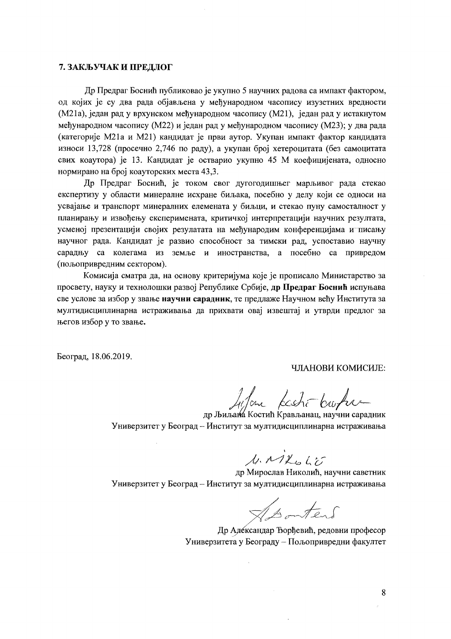#### 7. ЗАКЉУЧАК И ПРЕДЛОГ

Др Предраг Боснић публиковао је укупно 5 научних радова са импакт фактором, од којих је су два рада објављена у међународном часопису изузетних вредности (М21а), један рад у врхунском међународном часопису (М21), један рад у истакнутом међународном часопису (М22) и један рад у међународном часопису (М23); у два рада (категорије М21а и М21) кандидат је први аутор. Укупан импакт фактор кандидата износи 13,728 (просечно 2,746 по раду), а укупан број хетероцитата (без самоцитата свих коаутора) је 13. Кандидат је остварио укупно 45 М коефицијената, односно нормирано на број коауторских места 43,3.

Др Предраг Боснић, је током свог дугогодишњег марљивог рада стекао експертизу у области минералне исхране биљака, посебно у делу који се односи на усвајање и транспорт минералних елемената у биљци, и стекао пуну самосталност у планирању и извођењу експеримената, критичкој интерпретацији научних резултата, усменој презентацији својих резулатата на међународим конференцијама и писању научног рада. Кандидат је развио способност за тимски рад, успоставио научну сарадњу са колегама из земље и иностранства, а посебно са привредом (пољопривредним сектором).

Комисија сматра да, на основу критеријума које је прописало Министарство за просвету, науку и технолошки развој Републике Србије, др Предраг Боснић испуњава све услове за избор у звање научни сарадник, те предлаже Научном већу Института за мултидисциплинарна истраживања да прихвати овај извештај и утврди предлог за његов избор у то звање.

Београд, 18.06.2019.

ЧЛАНОВИ КОМИСИЈЕ:

Lifan Keshi broken

др Љиљана Костић Крављанац, научни сарадник Универзитет у Београд - Институт за мултидисциплинарна истраживања

 $\mu$ ,  $n$  )  $\mu$  6  $k$   $\tilde{\nu}$ 

др Мирослав Николић, научни саветник Универзитет у Београд - Институт за мултидисциплинарна истраживања

 $\hat{\mathbf{v}}$ 

Asontend

Др Александар Ђорђевић, редовни професор Универзитета у Београду - Пољопривредни факултет